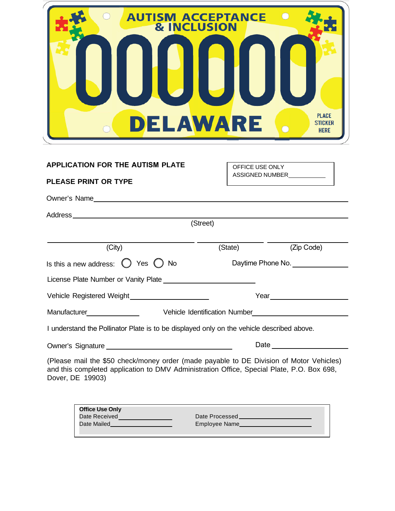| <b>AUTISM ACCEPTANCE</b>                | <b>PLACE</b>                              |
|-----------------------------------------|-------------------------------------------|
| <b>&amp; INCLUSION</b>                  | <b>STICKER</b>                            |
| <b>DELAWARE</b>                         | <b>HERE</b>                               |
| <b>APPLICATION FOR THE AUTISM PLATE</b> | OFFICE USE ONLY<br><b>ASSIGNED NUMBER</b> |

|                                                                                                                                                                                                          | (Street)          |                                                                                                                 |
|----------------------------------------------------------------------------------------------------------------------------------------------------------------------------------------------------------|-------------------|-----------------------------------------------------------------------------------------------------------------|
| (City)                                                                                                                                                                                                   | (State)           | (Zip Code)                                                                                                      |
| Is this a new address: $\bigcirc$ Yes $\bigcirc$ No                                                                                                                                                      | Daytime Phone No. |                                                                                                                 |
|                                                                                                                                                                                                          |                   |                                                                                                                 |
|                                                                                                                                                                                                          |                   | Year <u>______________________</u>                                                                              |
| Manufacturer___________________                                                                                                                                                                          |                   |                                                                                                                 |
| I understand the Pollinator Plate is to be displayed only on the vehicle described above.                                                                                                                |                   |                                                                                                                 |
|                                                                                                                                                                                                          |                   | Date and the state of the state of the state of the state of the state of the state of the state of the state o |
| (Please mail the \$50 check/money order (made payable to DE Division of Motor Vehicles)<br>and this completed application to DMV Administration Office, Special Plate, P.O. Box 698,<br>Dover, DE 19903) |                   |                                                                                                                 |

| <b>Office Use Only</b> |                |
|------------------------|----------------|
| Date Received          | Date Processed |
| Date Mailed            | Employee Name  |
|                        |                |